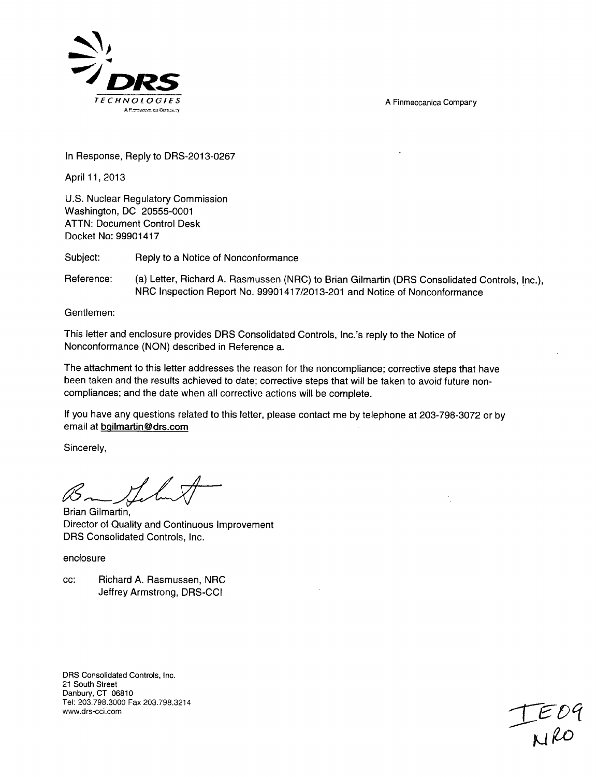A Finmeccanica Company



In Response, Reply to DRS-2013-0267

April 11,2013

U.S. Nuclear Regulatory Commission Washington, DC 20555-0001 ATTN: Document Control Desk Docket No: 99901417

Subject: Reply to a Notice of Nonconformance

Reference: (a) Letter, Richard A. Rasmussen (NRC) to Brian Gilmartin (DRS Consolidated Controls, Inc.), NRC Inspection Report No. 99901417/2013-201 and Notice of Nonconformance

Gentlemen:

This letter and enclosure provides DRS Consolidated Controls, Inc.'s reply to the Notice of Nonconformance (NON) described in Reference a.

The attachment to this letter addresses the reason for the noncompliance; corrective steps that have been taken and the results achieved to date; corrective steps that will be taken to avoid future noncompliances; and the date when all corrective actions will be complete.

If you have any questions related to this letter, please contact me by telephone at 203-798-3072 or by email at bqilmartin@drs.com

Sincerely,

Brian Gilmartin, Director of Quality and Continuous Improvement DRS Consolidated Controls, Inc.

enclosure

cc: Richard A. Rasmussen, NRC Jeffrey Armstrong, DRS-CCI -

DRS Consolidated Controls, Inc. 21 South Street Danbury, CT 06810 Tel: 203.798.3000 Fax 203.798.3214

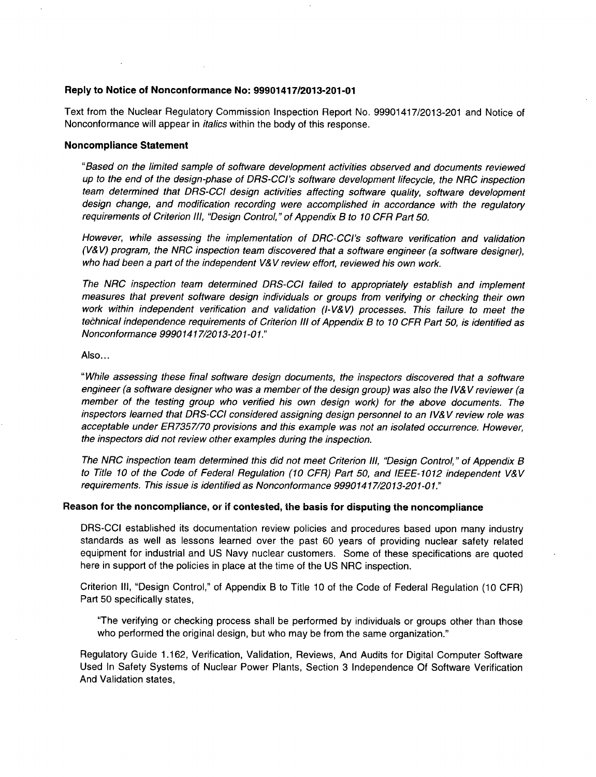# Reply to Notice of Nonconformance No: **99901417/2013-201-01**

Text from the Nuclear Regulatory Commission Inspection Report No. 99901417/2013-201 and Notice of Nonconformance will appear in *italics* within the body of this response.

## Noncompliance Statement

*"Based on the limited sample of software development activities observed and documents reviewed up to the end of the design-phase of DRS-CCI's software development lifecycle, the NRC inspection team determined that DRS-CCI design activities affecting software quality, software development design change, and modification recording were accomplished in accordance with the regulatory requirements of Criterion Ill, "Design Control," of Appendix B to 10 CFR Part 50.*

*However, while assessing the implementation of DRC-CCI's software verification and validation (V& V) program, the NRC inspection team discovered that a software engineer (a software designer), who had been a part of the independent V& V review effort, reviewed his own work.*

*The NRC inspection team determined DRS-CCI failed to appropriately establish and implement measures that prevent software design individuals or groups from verifying or checking their own work within independent verification and validation (I-V&V) processes. This failure to meet the technical independence requirements of Criterion Ill of Appendix B to 10 CFR Part 50, is identified as Nonconformance 99901417/2013-201-01."*

## Also...

*"While assessing these final software design documents, the inspectors discovered that a software engineer (a software designer who was a member of the design group) was also the IV& V reviewer (a member of the testing group who verified his own design work) for the above documents. The inspectors learned that DRS-CCI considered assigning design personnel to an IV& V review role was acceptable under ER7357/70 provisions and this example was not an isolated occurrence. However, the inspectors did not review other examples during the inspection.*

*The NRC inspection team determined this did not meet Criterion Ill, "Design Control," of Appendix B to Title 10 of the Code of Federal Regulation (10 CFR) Part 50, and IEEE-1012 independent V&V requirements. This issue is identified as Nonconformance 99901417/2013-201-01."*

#### Reason for the noncompliance, or if contested, the basis for disputing the noncompliance

DRS-CCI established its documentation review policies and procedures based upon many industry standards as well as lessons learned over the past 60 years of providing nuclear safety related equipment for industrial and US Navy nuclear customers. Some of these specifications are quoted here in support of the policies in place at the time of the US NRC inspection.

Criterion Ill, "Design Control," of Appendix B to Title 10 of the Code of Federal Regulation (10 CFR) Part 50 specifically states,

"The verifying or checking process shall be performed by individuals or groups other than those who performed the original design, but who may be from the same organization."

Regulatory Guide 1.162, Verification, Validation, Reviews, And Audits for Digital Computer Software Used In Safety Systems of Nuclear Power Plants, Section 3 Independence Of Software Verification And Validation states,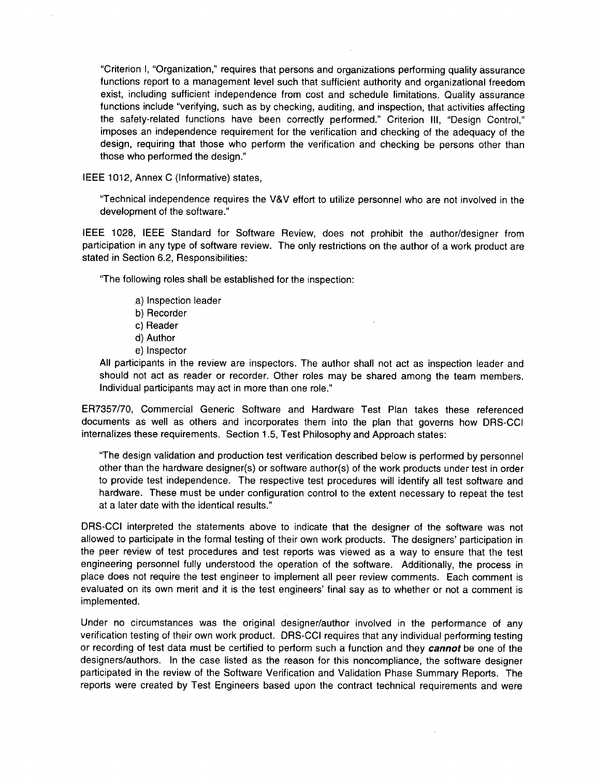"Criterion **1,** "Organization," requires that persons and organizations performing quality assurance functions report to a management level such that sufficient authority and organizational freedom exist, including sufficient independence from cost and schedule limitations. Quality assurance functions include "verifying, such as **by** checking, auditing, and inspection, that activities affecting the safety-related functions have been correctly performed." Criterion **111,** "Design Control," imposes an independence requirement for the verification and checking of the adequacy of the design, requiring that those who perform the verification and checking be persons other than those who performed the design."

**IEEE** 1012, Annex **C** (Informative) states,

"Technical independence requires the V&V effort to utilize personnel who are not involved in the development of the software."

**IEEE 1028, IEEE** Standard for Software Review, does not prohibit the author/designer from participation in any type of software review. The only restrictions on the author of a work product are stated in Section **6.2,** Responsibilities:

"The following roles shall be established for the inspection:

- .a) Inspection leader
- **b)** Recorder
- c) Reader
- **d)** Author
- e) Inspector

**All** participants in the review are inspectors. The author shall not act as inspection leader and should not act as reader or recorder. Other roles may be shared among the team members. Individual participants may act in more than one role."

**ER7357/70,** Commercial Generic Software and Hardware Test Plan takes these referenced documents as well as others and incorporates them into the plan that governs how DRS-CCI internalizes these requirements. Section **1.5,** Test Philosophy and Approach states:

"The design validation and production test verification described below is performed **by** personnel other than the hardware designer(s) or software author(s) of the work products under test in order to provide test independence. The respective test procedures will identify all test software and hardware. These must be under configuration control to the extent necessary to repeat the test at a later date with the identical results."

DRS-CCI interpreted the statements above to indicate that the designer of the software was not allowed to participate in the formal testing of their own work products. The designers' participation in the peer review of test procedures and test reports was viewed as a way to ensure that the test engineering personnel fully understood the operation of the software. Additionally, the process in place does not require the test engineer to implement all peer review comments. Each comment is evaluated on its own merit and it is the test engineers' final say as to whether or not a comment is implemented.

Under no circumstances was the original designer/author involved in the performance of any verification testing of their own work product. DRS-CCI requires that any individual performing testing or recording of test data must be certified to perform such a function and they *cannot* be one of the designers/authors. In the case listed as the reason for this noncompliance, the software designer participated in the review of the Software Verification and Validation Phase Summary Reports. The reports were created **by** Test Engineers based upon the contract technical requirements and were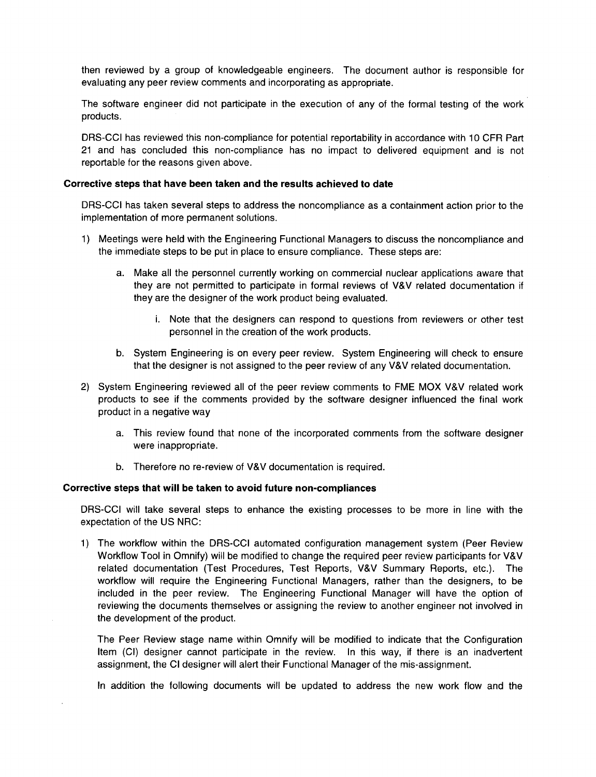then reviewed by a group of knowledgeable engineers. The document author is responsible for evaluating any peer review comments and incorporating as appropriate.

The software engineer did not participate in the execution of any of the formal testing of the work products.

DRS-CCI has reviewed this non-compliance for potential reportability in accordance with 10 CFR Part 21 and has concluded this non-compliance has no impact to delivered equipment and is not reportable for the reasons given above.

## Corrective steps that have been taken and the results achieved to date

DRS-CCI has taken several steps to address the noncompliance as a containment action prior to the implementation of more permanent solutions.

- 1) Meetings were held with the Engineering Functional Managers to discuss the noncompliance and the immediate steps to be put in place to ensure compliance. These steps are:
	- a. Make all the personnel currently working on commercial nuclear applications aware that they are not permitted to participate in formal reviews of V&V related documentation if they are the designer of the work product being evaluated.
		- i. Note that the designers can respond to questions from reviewers or other test personnel in the creation of the work products.
	- **b.** System Engineering is on every peer review. System Engineering will check to ensure that the designer is not assigned to the peer review of any V&V related documentation.
- 2) System Engineering reviewed all of the peer review comments to FME MOX V&V related work products to see if the comments provided by the software designer influenced the final work product in a negative way
	- a. This review found that none of the incorporated comments from the software designer were inappropriate.
	- b. Therefore no re-review of V&V documentation is required.

# Corrective steps that will be taken to avoid future non-compliances

DRS-CCI will take several steps to enhance the existing processes to be more in line with the expectation of the US NRC:

1) The workflow within the DRS-CCI automated configuration management system (Peer Review Workflow Tool in Omnify) will be modified to change the required peer review participants for V&V related documentation (Test Procedures, Test Reports, V&V Summary Reports, etc.). The workflow will require the Engineering Functional Managers, rather than the designers, to be included in the peer review. The Engineering Functional Manager will have the option of reviewing the documents themselves or assigning the review to another engineer not involved in the development of the product.

The Peer Review stage name within Omnify will be modified to indicate that the Configuration Item (CI) designer cannot participate in the review. In this way, if there is an inadvertent assignment, the **Cl** designer will alert their Functional Manager of the mis-assignment.

In addition the following documents will be updated to address the new work flow and the